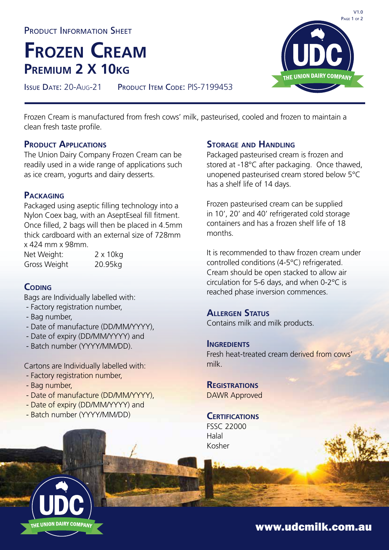PRODUCT INFORMATION SHEET

# **Frozen Cream Premium 2 X 10kg**

ISSUE DATE: 20-Aug-21 PRODUCT ITEM CODE: PIS-7199453

Frozen Cream is manufactured from fresh cows' milk, pasteurised, cooled and frozen to maintain a clean fresh taste profile.

#### **PRODUCT APPLICATIONS**

The Union Dairy Company Frozen Cream can be readily used in a wide range of applications such as ice cream, yogurts and dairy desserts.

#### **Packaging**

Packaged using aseptic filling technology into a Nylon Coex bag, with an AseptEseal fill fitment. Once filled, 2 bags will then be placed in 4.5mm thick cardboard with an external size of 728mm x 424 mm x 98mm.

Net Weight: 2 x 10kg Gross Weight 20.95kg

## **Coding**

Bags are Individually labelled with:

- Factory registration number,
- Bag number,
- Date of manufacture (DD/MM/YYYY),
- Date of expiry (DD/MM/YYYY) and
- Batch number (YYYY/MM/DD).

Cartons are Individually labelled with:

- Factory registration number,
- Bag number,
- Date of manufacture (DD/MM/YYYY),
- Date of expiry (DD/MM/YYYY) and
- Batch number (YYYY/MM/DD)

#### **Storage and Handling**

Packaged pasteurised cream is frozen and stored at -18°C after packaging. Once thawed, unopened pasteurised cream stored below 5°C has a shelf life of 14 days.

Frozen pasteurised cream can be supplied in 10', 20' and 40' refrigerated cold storage containers and has a frozen shelf life of 18 months.

It is recommended to thaw frozen cream under controlled conditions (4-5°C) refrigerated. Cream should be open stacked to allow air circulation for 5-6 days, and when 0-2°C is reached phase inversion commences.

#### **Allergen Status**

Contains milk and milk products.

#### **INGREDIENTS**

Fresh heat-treated cream derived from cows' milk.

**Registrations** DAWR Approved

#### **CERTIFICATIONS**

FSSC 22000 Halal Kosher

www.udcmilk.com.au



 $V1.0$ PAGE 1 OF 2 **DAIRY COMPANY**